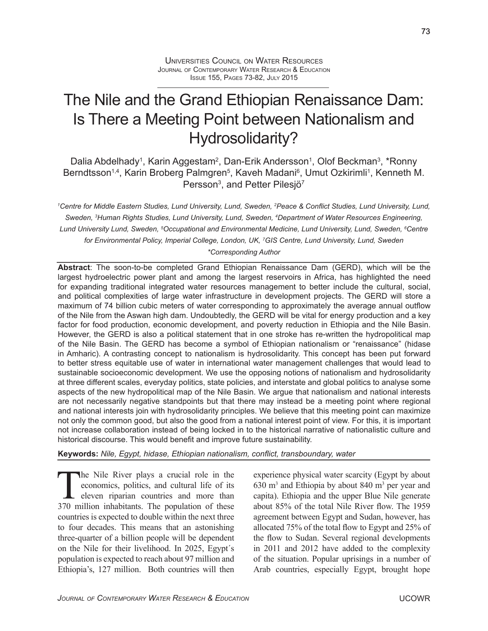#### Issue 155, Pages 73-82, July 2015

# The Nile and the Grand Ethiopian Renaissance Dam: Is There a Meeting Point between Nationalism and Hydrosolidarity?

Dalia Abdelhady<sup>1</sup>, Karin Aggestam<sup>2</sup>, Dan-Erik Andersson<sup>1</sup>, Olof Beckman<sup>3</sup>, \*Ronny Berndtsson<sup>1,4</sup>, Karin Broberg Palmgren<sup>5</sup>, Kaveh Madani<sup>6</sup>, Umut Ozkirimli<sup>1</sup>, Kenneth M. Persson<sup>3</sup>, and Petter Pilesjö<sup>7</sup>

<sup>1</sup>Centre for Middle Eastern Studies, Lund University, Lund, Sweden, <sup>2</sup>Peace & Conflict Studies, Lund University, Lund, *Sweden, <sup>3</sup> Human Rights Studies, Lund University, Lund, Sweden, <sup>4</sup> Department of Water Resources Engineering, Lund University Lund, Sweden, <sup>5</sup> Occupational and Environmental Medicine, Lund University, Lund, Sweden, <sup>6</sup> Centre for Environmental Policy, Imperial College, London, UK, <sup>7</sup> GIS Centre, Lund University, Lund, Sweden \*Corresponding Author*

**Abstract**: The soon-to-be completed Grand Ethiopian Renaissance Dam (GERD), which will be the largest hydroelectric power plant and among the largest reservoirs in Africa, has highlighted the need for expanding traditional integrated water resources management to better include the cultural, social, and political complexities of large water infrastructure in development projects. The GERD will store a maximum of 74 billion cubic meters of water corresponding to approximately the average annual outflow of the Nile from the Aswan high dam. Undoubtedly, the GERD will be vital for energy production and a key factor for food production, economic development, and poverty reduction in Ethiopia and the Nile Basin. However, the GERD is also a political statement that in one stroke has re-written the hydropolitical map of the Nile Basin. The GERD has become a symbol of Ethiopian nationalism or "renaissance" (hidase in Amharic). A contrasting concept to nationalism is hydrosolidarity. This concept has been put forward to better stress equitable use of water in international water management challenges that would lead to sustainable socioeconomic development. We use the opposing notions of nationalism and hydrosolidarity at three different scales, everyday politics, state policies, and interstate and global politics to analyse some aspects of the new hydropolitical map of the Nile Basin. We argue that nationalism and national interests are not necessarily negative standpoints but that there may instead be a meeting point where regional and national interests join with hydrosolidarity principles. We believe that this meeting point can maximize not only the common good, but also the good from a national interest point of view. For this, it is important not increase collaboration instead of being locked in to the historical narrative of nationalistic culture and historical discourse. This would benefit and improve future sustainability.

**Keywords:** *Nile, Egypt, hidase, Ethiopian nationalism, conflict, transboundary, water*

The Nile River plays a crucial role in the<br>economics, politics, and cultural life of its<br>eleven riparian countries and more than<br>370 million inhabitants. The population of these economics, politics, and cultural life of its eleven riparian countries and more than 370 million inhabitants. The population of these countries is expected to double within the next three to four decades. This means that an astonishing three-quarter of a billion people will be dependent on the Nile for their livelihood. In 2025, Egypt´s population is expected to reach about 97 million and Ethiopia's, 127 million. Both countries will then experience physical water scarcity (Egypt by about  $630 \text{ m}^3$  and Ethiopia by about  $840 \text{ m}^3$  per year and capita). Ethiopia and the upper Blue Nile generate about 85% of the total Nile River flow. The 1959 agreement between Egypt and Sudan, however, has allocated 75% of the total flow to Egypt and 25% of the flow to Sudan. Several regional developments in 2011 and 2012 have added to the complexity of the situation. Popular uprisings in a number of Arab countries, especially Egypt, brought hope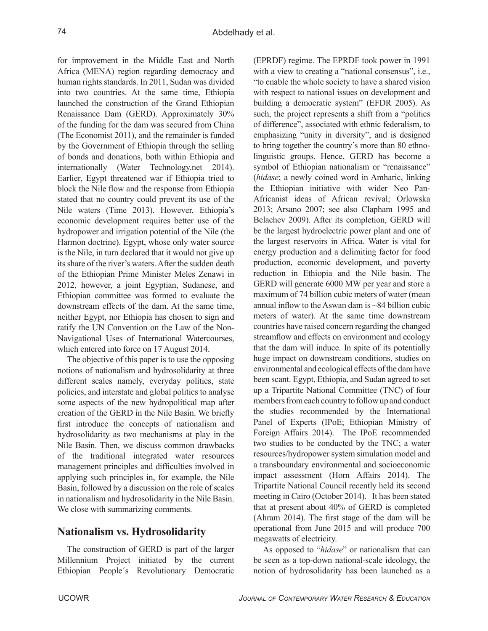for improvement in the Middle East and North Africa (MENA) region regarding democracy and human rights standards. In 2011, Sudan was divided into two countries. At the same time, Ethiopia launched the construction of the Grand Ethiopian Renaissance Dam (GERD). Approximately 30% of the funding for the dam was secured from China (The Economist 2011), and the remainder is funded by the Government of Ethiopia through the selling of bonds and donations, both within Ethiopia and internationally (Water Technology.net 2014). Earlier, Egypt threatened war if Ethiopia tried to block the Nile flow and the response from Ethiopia stated that no country could prevent its use of the Nile waters (Time 2013). However, Ethiopia's economic development requires better use of the hydropower and irrigation potential of the Nile (the Harmon doctrine). Egypt, whose only water source is the Nile, in turn declared that it would not give up its share of the river's waters. After the sudden death of the Ethiopian Prime Minister Meles Zenawi in 2012, however, a joint Egyptian, Sudanese, and Ethiopian committee was formed to evaluate the downstream effects of the dam. At the same time, neither Egypt, nor Ethiopia has chosen to sign and ratify the UN Convention on the Law of the Non-Navigational Uses of International Watercourses, which entered into force on 17 August 2014.

The objective of this paper is to use the opposing notions of nationalism and hydrosolidarity at three different scales namely, everyday politics, state policies, and interstate and global politics to analyse some aspects of the new hydropolitical map after creation of the GERD in the Nile Basin. We briefly first introduce the concepts of nationalism and hydrosolidarity as two mechanisms at play in the Nile Basin. Then, we discuss common drawbacks of the traditional integrated water resources management principles and difficulties involved in applying such principles in, for example, the Nile Basin, followed by a discussion on the role of scales in nationalism and hydrosolidarity in the Nile Basin. We close with summarizing comments.

#### **Nationalism vs. Hydrosolidarity**

The construction of GERD is part of the larger Millennium Project initiated by the current Ethiopian People´s Revolutionary Democratic (EPRDF) regime. The EPRDF took power in 1991 with a view to creating a "national consensus", i.e., "to enable the whole society to have a shared vision with respect to national issues on development and building a democratic system" (EFDR 2005). As such, the project represents a shift from a "politics of difference", associated with ethnic federalism, to emphasizing "unity in diversity", and is designed to bring together the country's more than 80 ethnolinguistic groups. Hence, GERD has become a symbol of Ethiopian nationalism or "renaissance" (*hidase*; a newly coined word in Amharic, linking the Ethiopian initiative with wider Neo Pan-Africanist ideas of African revival; Orlowska 2013; Arsano 2007; see also Clapham 1995 and Belachev 2009). After its completion, GERD will be the largest hydroelectric power plant and one of the largest reservoirs in Africa. Water is vital for energy production and a delimiting factor for food production, economic development, and poverty reduction in Ethiopia and the Nile basin. The GERD will generate 6000 MW per year and store a maximum of 74 billion cubic meters of water (mean annual inflow to the Aswan dam is ~84 billion cubic meters of water). At the same time downstream countries have raised concern regarding the changed streamflow and effects on environment and ecology that the dam will induce. In spite of its potentially huge impact on downstream conditions, studies on environmental and ecological effects of the dam have been scant. Egypt, Ethiopia, and Sudan agreed to set up a Tripartite National Committee (TNC) of four members from each country to follow up and conduct the studies recommended by the International Panel of Experts (IPoE; Ethiopian Ministry of Foreign Affairs 2014). The IPoE recommended two studies to be conducted by the TNC; a water resources/hydropower system simulation model and a transboundary environmental and socioeconomic impact assessment (Horn Affairs 2014). The Tripartite National Council recently held its second meeting in Cairo (October 2014). It has been stated that at present about 40% of GERD is completed (Ahram 2014). The first stage of the dam will be operational from June 2015 and will produce 700 megawatts of electricity.

As opposed to "*hidase*" or nationalism that can be seen as a top-down national-scale ideology, the notion of hydrosolidarity has been launched as a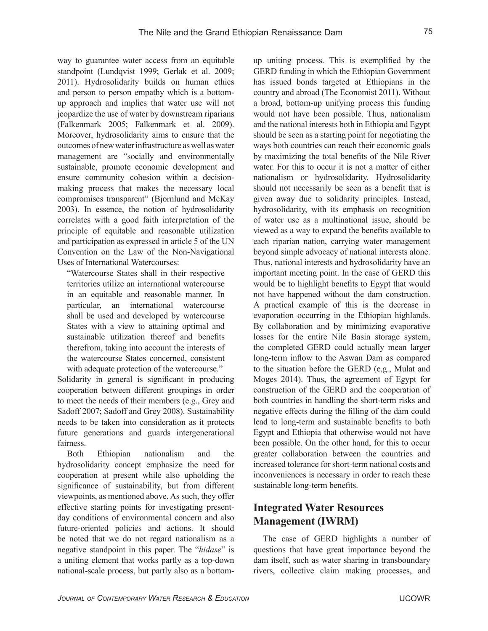way to guarantee water access from an equitable standpoint (Lundqvist 1999; Gerlak et al. 2009; 2011). Hydrosolidarity builds on human ethics and person to person empathy which is a bottomup approach and implies that water use will not jeopardize the use of water by downstream riparians (Falkenmark 2005; Falkenmark et al. 2009). Moreover, hydrosolidarity aims to ensure that the outcomes of new water infrastructure as well as water management are "socially and environmentally sustainable, promote economic development and ensure community cohesion within a decisionmaking process that makes the necessary local compromises transparent" (Bjornlund and McKay 2003). In essence, the notion of hydrosolidarity correlates with a good faith interpretation of the principle of equitable and reasonable utilization and participation as expressed in article 5 of the UN Convention on the Law of the Non-Navigational Uses of International Watercourses:

"Watercourse States shall in their respective territories utilize an international watercourse in an equitable and reasonable manner. In particular, an international watercourse shall be used and developed by watercourse States with a view to attaining optimal and sustainable utilization thereof and benefits therefrom, taking into account the interests of the watercourse States concerned, consistent with adequate protection of the watercourse."

Solidarity in general is significant in producing cooperation between different groupings in order to meet the needs of their members (e.g., Grey and Sadoff 2007; Sadoff and Grey 2008). Sustainability needs to be taken into consideration as it protects future generations and guards intergenerational fairness.

Both Ethiopian nationalism and the hydrosolidarity concept emphasize the need for cooperation at present while also upholding the significance of sustainability, but from different viewpoints, as mentioned above. As such, they offer effective starting points for investigating presentday conditions of environmental concern and also future-oriented policies and actions. It should be noted that we do not regard nationalism as a negative standpoint in this paper. The "*hidase*" is a uniting element that works partly as a top-down national-scale process, but partly also as a bottomup uniting process. This is exemplified by the GERD funding in which the Ethiopian Government has issued bonds targeted at Ethiopians in the country and abroad (The Economist 2011). Without a broad, bottom-up unifying process this funding would not have been possible. Thus, nationalism and the national interests both in Ethiopia and Egypt should be seen as a starting point for negotiating the ways both countries can reach their economic goals by maximizing the total benefits of the Nile River water. For this to occur it is not a matter of either nationalism or hydrosolidarity. Hydrosolidarity should not necessarily be seen as a benefit that is given away due to solidarity principles. Instead, hydrosolidarity, with its emphasis on recognition of water use as a multinational issue, should be viewed as a way to expand the benefits available to each riparian nation, carrying water management beyond simple advocacy of national interests alone. Thus, national interests and hydrosolidarity have an important meeting point. In the case of GERD this would be to highlight benefits to Egypt that would not have happened without the dam construction. A practical example of this is the decrease in evaporation occurring in the Ethiopian highlands. By collaboration and by minimizing evaporative losses for the entire Nile Basin storage system, the completed GERD could actually mean larger long-term inflow to the Aswan Dam as compared to the situation before the GERD (e.g., Mulat and Moges 2014). Thus, the agreement of Egypt for construction of the GERD and the cooperation of both countries in handling the short-term risks and negative effects during the filling of the dam could lead to long-term and sustainable benefits to both Egypt and Ethiopia that otherwise would not have been possible. On the other hand, for this to occur greater collaboration between the countries and increased tolerance for short-term national costs and inconveniences is necessary in order to reach these sustainable long-term benefits.

### **Integrated Water Resources Management (IWRM)**

The case of GERD highlights a number of questions that have great importance beyond the dam itself, such as water sharing in transboundary rivers, collective claim making processes, and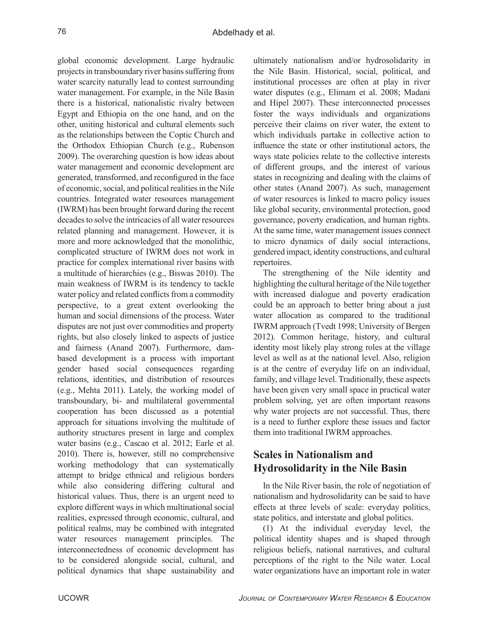global economic development. Large hydraulic projects in transboundary river basins suffering from water scarcity naturally lead to contest surrounding water management. For example, in the Nile Basin there is a historical, nationalistic rivalry between Egypt and Ethiopia on the one hand, and on the other, uniting historical and cultural elements such as the relationships between the Coptic Church and the Orthodox Ethiopian Church (e.g., Rubenson 2009). The overarching question is how ideas about water management and economic development are generated, transformed, and reconfigured in the face of economic, social, and political realities in the Nile countries. Integrated water resources management (IWRM) has been brought forward during the recent decades to solve the intricacies of all water resources related planning and management. However, it is more and more acknowledged that the monolithic, complicated structure of IWRM does not work in practice for complex international river basins with a multitude of hierarchies (e.g., Biswas 2010). The main weakness of IWRM is its tendency to tackle water policy and related conflicts from a commodity perspective, to a great extent overlooking the human and social dimensions of the process. Water disputes are not just over commodities and property rights, but also closely linked to aspects of justice and fairness (Anand 2007). Furthermore, dambased development is a process with important gender based social consequences regarding relations, identities, and distribution of resources (e.g., Mehta 2011). Lately, the working model of transboundary, bi- and multilateral governmental cooperation has been discussed as a potential approach for situations involving the multitude of authority structures present in large and complex water basins (e.g., Cascao et al. 2012; Earle et al. 2010). There is, however, still no comprehensive working methodology that can systematically attempt to bridge ethnical and religious borders while also considering differing cultural and historical values. Thus, there is an urgent need to explore different ways in which multinational social realities, expressed through economic, cultural, and political realms, may be combined with integrated water resources management principles. The interconnectedness of economic development has to be considered alongside social, cultural, and political dynamics that shape sustainability and

ultimately nationalism and/or hydrosolidarity in the Nile Basin. Historical, social, political, and institutional processes are often at play in river water disputes (e.g., Elimam et al. 2008; Madani and Hipel 2007). These interconnected processes foster the ways individuals and organizations perceive their claims on river water, the extent to which individuals partake in collective action to influence the state or other institutional actors, the ways state policies relate to the collective interests of different groups, and the interest of various states in recognizing and dealing with the claims of other states (Anand 2007). As such, management of water resources is linked to macro policy issues like global security, environmental protection, good governance, poverty eradication, and human rights. At the same time, water management issues connect to micro dynamics of daily social interactions, gendered impact, identity constructions, and cultural repertoires.

The strengthening of the Nile identity and highlighting the cultural heritage of the Nile together with increased dialogue and poverty eradication could be an approach to better bring about a just water allocation as compared to the traditional IWRM approach (Tvedt 1998; University of Bergen 2012). Common heritage, history, and cultural identity most likely play strong roles at the village level as well as at the national level. Also, religion is at the centre of everyday life on an individual, family, and village level. Traditionally, these aspects have been given very small space in practical water problem solving, yet are often important reasons why water projects are not successful. Thus, there is a need to further explore these issues and factor them into traditional IWRM approaches.

# **Scales in Nationalism and Hydrosolidarity in the Nile Basin**

In the Nile River basin, the role of negotiation of nationalism and hydrosolidarity can be said to have effects at three levels of scale: everyday politics, state politics, and interstate and global politics.

(1) At the individual everyday level, the political identity shapes and is shaped through religious beliefs, national narratives, and cultural perceptions of the right to the Nile water. Local water organizations have an important role in water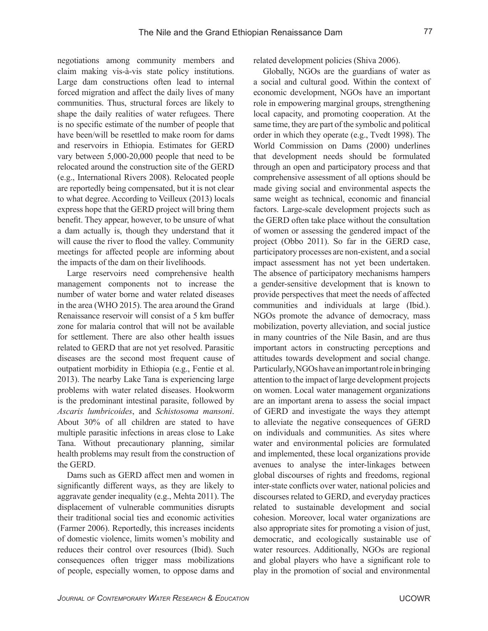negotiations among community members and claim making vis-à-vis state policy institutions. Large dam constructions often lead to internal forced migration and affect the daily lives of many communities. Thus, structural forces are likely to shape the daily realities of water refugees. There is no specific estimate of the number of people that have been/will be resettled to make room for dams and reservoirs in Ethiopia. Estimates for GERD vary between 5,000-20,000 people that need to be relocated around the construction site of the GERD (e.g., International Rivers 2008). Relocated people are reportedly being compensated, but it is not clear to what degree. According to Veilleux (2013) locals express hope that the GERD project will bring them benefit. They appear, however, to be unsure of what a dam actually is, though they understand that it will cause the river to flood the valley. Community meetings for affected people are informing about the impacts of the dam on their livelihoods.

Large reservoirs need comprehensive health management components not to increase the number of water borne and water related diseases in the area (WHO 2015). The area around the Grand Renaissance reservoir will consist of a 5 km buffer zone for malaria control that will not be available for settlement. There are also other health issues related to GERD that are not yet resolved. Parasitic diseases are the second most frequent cause of outpatient morbidity in Ethiopia (e.g., Fentie et al. 2013). The nearby Lake Tana is experiencing large problems with water related diseases. Hookworm is the predominant intestinal parasite, followed by *Ascaris lumbricoides*, and *Schistosoma mansoni*. About 30% of all children are stated to have multiple parasitic infections in areas close to Lake Tana. Without precautionary planning, similar health problems may result from the construction of the GERD.

Dams such as GERD affect men and women in significantly different ways, as they are likely to aggravate gender inequality (e.g., Mehta 2011). The displacement of vulnerable communities disrupts their traditional social ties and economic activities (Farmer 2006). Reportedly, this increases incidents of domestic violence, limits women's mobility and reduces their control over resources (Ibid). Such consequences often trigger mass mobilizations of people, especially women, to oppose dams and

related development policies (Shiva 2006).

Globally, NGOs are the guardians of water as a social and cultural good. Within the context of economic development, NGOs have an important role in empowering marginal groups, strengthening local capacity, and promoting cooperation. At the same time, they are part of the symbolic and political order in which they operate (e.g., Tvedt 1998). The World Commission on Dams (2000) underlines that development needs should be formulated through an open and participatory process and that comprehensive assessment of all options should be made giving social and environmental aspects the same weight as technical, economic and financial factors. Large-scale development projects such as the GERD often take place without the consultation of women or assessing the gendered impact of the project (Obbo 2011). So far in the GERD case, participatory processes are non-existent, and a social impact assessment has not yet been undertaken. The absence of participatory mechanisms hampers a gender-sensitive development that is known to provide perspectives that meet the needs of affected communities and individuals at large (Ibid.). NGOs promote the advance of democracy, mass mobilization, poverty alleviation, and social justice in many countries of the Nile Basin, and are thus important actors in constructing perceptions and attitudes towards development and social change. Particularly, NGOs have an important role in bringing attention to the impact of large development projects on women. Local water management organizations are an important arena to assess the social impact of GERD and investigate the ways they attempt to alleviate the negative consequences of GERD on individuals and communities. As sites where water and environmental policies are formulated and implemented, these local organizations provide avenues to analyse the inter-linkages between global discourses of rights and freedoms, regional inter-state conflicts over water, national policies and discourses related to GERD, and everyday practices related to sustainable development and social cohesion. Moreover, local water organizations are also appropriate sites for promoting a vision of just, democratic, and ecologically sustainable use of water resources. Additionally, NGOs are regional and global players who have a significant role to play in the promotion of social and environmental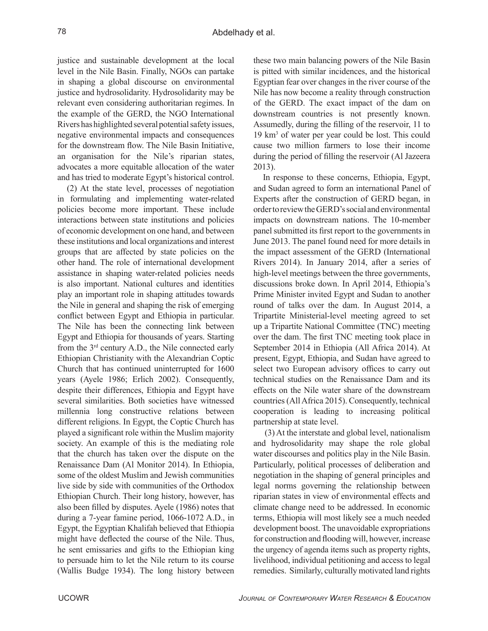justice and sustainable development at the local level in the Nile Basin. Finally, NGOs can partake in shaping a global discourse on environmental justice and hydrosolidarity. Hydrosolidarity may be relevant even considering authoritarian regimes. In the example of the GERD, the NGO International Rivers has highlighted several potential safety issues, negative environmental impacts and consequences for the downstream flow. The Nile Basin Initiative, an organisation for the Nile's riparian states, advocates a more equitable allocation of the water and has tried to moderate Egypt's historical control.

(2) At the state level, processes of negotiation in formulating and implementing water-related policies become more important. These include interactions between state institutions and policies of economic development on one hand, and between these institutions and local organizations and interest groups that are affected by state policies on the other hand. The role of international development assistance in shaping water-related policies needs is also important. National cultures and identities play an important role in shaping attitudes towards the Nile in general and shaping the risk of emerging conflict between Egypt and Ethiopia in particular. The Nile has been the connecting link between Egypt and Ethiopia for thousands of years. Starting from the 3rd century A.D., the Nile connected early Ethiopian Christianity with the Alexandrian Coptic Church that has continued uninterrupted for 1600 years (Ayele 1986; Erlich 2002). Consequently, despite their differences, Ethiopia and Egypt have several similarities. Both societies have witnessed millennia long constructive relations between different religions. In Egypt, the Coptic Church has played a significant role within the Muslim majority society. An example of this is the mediating role that the church has taken over the dispute on the Renaissance Dam (Al Monitor 2014). In Ethiopia, some of the oldest Muslim and Jewish communities live side by side with communities of the Orthodox Ethiopian Church. Their long history, however, has also been filled by disputes. Ayele (1986) notes that during a 7-year famine period, 1066-1072 A.D., in Egypt, the Egyptian Khalifah believed that Ethiopia might have deflected the course of the Nile. Thus, he sent emissaries and gifts to the Ethiopian king to persuade him to let the Nile return to its course (Wallis Budge 1934). The long history between

these two main balancing powers of the Nile Basin is pitted with similar incidences, and the historical Egyptian fear over changes in the river course of the Nile has now become a reality through construction of the GERD. The exact impact of the dam on downstream countries is not presently known. Assumedly, during the filling of the reservoir, 11 to 19 km3 of water per year could be lost. This could cause two million farmers to lose their income during the period of filling the reservoir (Al Jazeera 2013).

In response to these concerns, Ethiopia, Egypt, and Sudan agreed to form an international Panel of Experts after the construction of GERD began, in order to review the GERD's social and environmental impacts on downstream nations. The 10-member panel submitted its first report to the governments in June 2013. The panel found need for more details in the impact assessment of the GERD (International Rivers 2014). In January 2014, after a series of high-level meetings between the three governments, discussions broke down. In April 2014, Ethiopia's Prime Minister invited Egypt and Sudan to another round of talks over the dam. In August 2014, a Tripartite Ministerial-level meeting agreed to set up a Tripartite National Committee (TNC) meeting over the dam. The first TNC meeting took place in September 2014 in Ethiopia (All Africa 2014). At present, Egypt, Ethiopia, and Sudan have agreed to select two European advisory offices to carry out technical studies on the Renaissance Dam and its effects on the Nile water share of the downstream countries (All Africa 2015). Consequently, technical cooperation is leading to increasing political partnership at state level.

 (3) At the interstate and global level, nationalism and hydrosolidarity may shape the role global water discourses and politics play in the Nile Basin. Particularly, political processes of deliberation and negotiation in the shaping of general principles and legal norms governing the relationship between riparian states in view of environmental effects and climate change need to be addressed. In economic terms, Ethiopia will most likely see a much needed development boost. The unavoidable expropriations for construction and flooding will, however, increase the urgency of agenda items such as property rights, livelihood, individual petitioning and access to legal remedies. Similarly, culturally motivated land rights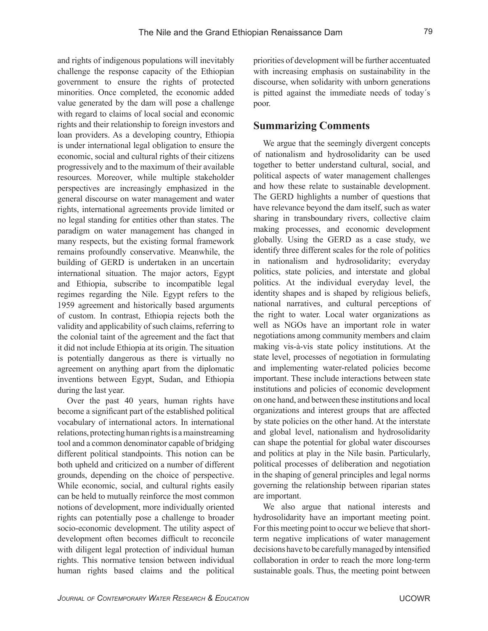and rights of indigenous populations will inevitably challenge the response capacity of the Ethiopian government to ensure the rights of protected minorities. Once completed, the economic added value generated by the dam will pose a challenge with regard to claims of local social and economic rights and their relationship to foreign investors and loan providers. As a developing country, Ethiopia is under international legal obligation to ensure the economic, social and cultural rights of their citizens progressively and to the maximum of their available resources. Moreover, while multiple stakeholder perspectives are increasingly emphasized in the general discourse on water management and water rights, international agreements provide limited or no legal standing for entities other than states. The paradigm on water management has changed in many respects, but the existing formal framework remains profoundly conservative. Meanwhile, the building of GERD is undertaken in an uncertain international situation. The major actors, Egypt and Ethiopia, subscribe to incompatible legal regimes regarding the Nile. Egypt refers to the 1959 agreement and historically based arguments of custom. In contrast, Ethiopia rejects both the validity and applicability of such claims, referring to the colonial taint of the agreement and the fact that it did not include Ethiopia at its origin. The situation is potentially dangerous as there is virtually no agreement on anything apart from the diplomatic inventions between Egypt, Sudan, and Ethiopia during the last year.

Over the past 40 years, human rights have become a significant part of the established political vocabulary of international actors. In international relations, protecting human rights is a mainstreaming tool and a common denominator capable of bridging different political standpoints. This notion can be both upheld and criticized on a number of different grounds, depending on the choice of perspective. While economic, social, and cultural rights easily can be held to mutually reinforce the most common notions of development, more individually oriented rights can potentially pose a challenge to broader socio-economic development. The utility aspect of development often becomes difficult to reconcile with diligent legal protection of individual human rights. This normative tension between individual human rights based claims and the political

priorities of development will be further accentuated with increasing emphasis on sustainability in the discourse, when solidarity with unborn generations is pitted against the immediate needs of today´s poor.

#### **Summarizing Comments**

We argue that the seemingly divergent concepts of nationalism and hydrosolidarity can be used together to better understand cultural, social, and political aspects of water management challenges and how these relate to sustainable development. The GERD highlights a number of questions that have relevance beyond the dam itself, such as water sharing in transboundary rivers, collective claim making processes, and economic development globally. Using the GERD as a case study, we identify three different scales for the role of politics in nationalism and hydrosolidarity; everyday politics, state policies, and interstate and global politics. At the individual everyday level, the identity shapes and is shaped by religious beliefs, national narratives, and cultural perceptions of the right to water. Local water organizations as well as NGOs have an important role in water negotiations among community members and claim making vis-à-vis state policy institutions. At the state level, processes of negotiation in formulating and implementing water-related policies become important. These include interactions between state institutions and policies of economic development on one hand, and between these institutions and local organizations and interest groups that are affected by state policies on the other hand. At the interstate and global level, nationalism and hydrosolidarity can shape the potential for global water discourses and politics at play in the Nile basin. Particularly, political processes of deliberation and negotiation in the shaping of general principles and legal norms governing the relationship between riparian states are important.

We also argue that national interests and hydrosolidarity have an important meeting point. For this meeting point to occur we believe that shortterm negative implications of water management decisions have to be carefully managed by intensified collaboration in order to reach the more long-term sustainable goals. Thus, the meeting point between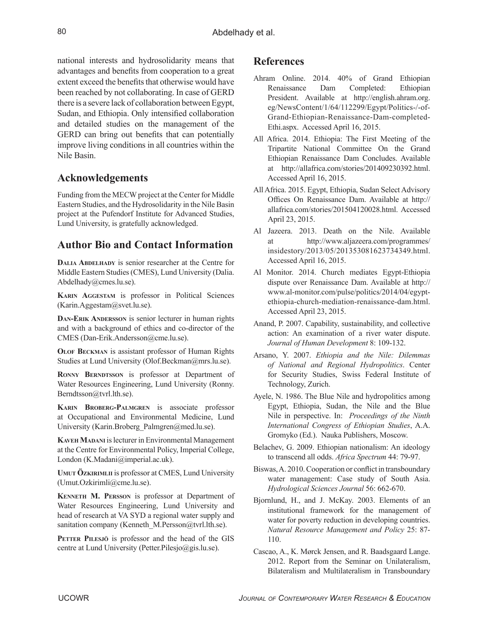national interests and hydrosolidarity means that advantages and benefits from cooperation to a great extent exceed the benefits that otherwise would have been reached by not collaborating. In case of GERD there is a severe lack of collaboration between Egypt, Sudan, and Ethiopia. Only intensified collaboration and detailed studies on the management of the GERD can bring out benefits that can potentially improve living conditions in all countries within the Nile Basin.

#### **Acknowledgements**

Funding from the MECW project at the Center for Middle Eastern Studies, and the Hydrosolidarity in the Nile Basin project at the Pufendorf Institute for Advanced Studies, Lund University, is gratefully acknowledged.

# **Author Bio and Contact Information**

**DALIA ABDELHADY** is senior researcher at the Centre for Middle Eastern Studies (CMES), Lund University (Dalia. Abdelhady@cmes.lu.se).

**Karin Aggestam** is professor in Political Sciences (Karin.Aggestam@svet.lu.se).

**Dan-Erik Andersson** is senior lecturer in human rights and with a background of ethics and co-director of the CMES (Dan-Erik.Andersson@cme.lu.se).

**Olof Beckman** is assistant professor of Human Rights Studies at Lund University (Olof.Beckman@mrs.lu.se).

**RONNY BERNDTSSON** is professor at Department of Water Resources Engineering, Lund University (Ronny. Berndtsson@tvrl.lth.se).

**Karin Broberg-Palmgren** is associate professor at Occupational and Environmental Medicine, Lund University (Karin.Broberg\_Palmgren@med.lu.se).

**Kaveh Madani** is lecturer in Environmental Management at the Centre for Environmental Policy, Imperial College, London (K.Madani@imperial.ac.uk).

**Umut Özkirimlii** is professor at CMES, Lund University (Umut.Ozkirimli@cme.lu.se).

**Kenneth M. Persson** is professor at Department of Water Resources Engineering, Lund University and head of research at VA SYD a regional water supply and sanitation company (Kenneth\_M.Persson@tvrl.lth.se).

**PETTER** PILESJÖ is professor and the head of the GIS centre at Lund University (Petter.Pilesjo@gis.lu.se).

#### **References**

- Ahram Online. 2014. 40% of Grand Ethiopian Renaissance Dam Completed: Ethiopian President. Available at http://english.ahram.org. eg/NewsContent/1/64/112299/Egypt/Politics-/-of-Grand-Ethiopian-Renaissance-Dam-completed-Ethi.aspx. Accessed April 16, 2015.
- All Africa. 2014. Ethiopia: The First Meeting of the Tripartite National Committee On the Grand Ethiopian Renaissance Dam Concludes. Available at http://allafrica.com/stories/201409230392.html. Accessed April 16, 2015.
- All Africa. 2015. Egypt, Ethiopia, Sudan Select Advisory Offices On Renaissance Dam. Available at http:// allafrica.com/stories/201504120028.html. Accessed April 23, 2015.
- Al Jazeera. 2013. Death on the Nile. Available at http://www.aljazeera.com/programmes/ insidestory/2013/05/201353081623734349.html. Accessed April 16, 2015.
- Al Monitor. 2014. Church mediates Egypt-Ethiopia dispute over Renaissance Dam. Available at http:// www.al-monitor.com/pulse/politics/2014/04/egyptethiopia-church-mediation-renaissance-dam.html. Accessed April 23, 2015.
- Anand, P. 2007. Capability, sustainability, and collective action: An examination of a river water dispute. *Journal of Human Development* 8: 109-132.
- Arsano, Y. 2007. *Ethiopia and the Nile: Dilemmas of National and Regional Hydropolitics*. Center for Security Studies, Swiss Federal Institute of Technology, Zurich.
- Ayele, N. 1986. The Blue Nile and hydropolitics among Egypt, Ethiopia, Sudan, the Nile and the Blue Nile in perspective. In: *Proceedings of the Ninth International Congress of Ethiopian Studies*, A.A. Gromyko (Ed.). Nauka Publishers, Moscow.
- Belachev, G. 2009. Ethiopian nationalism: An ideology to transcend all odds. *Africa Spectrum* 44: 79-97.
- Biswas, A. 2010. Cooperation or conflict in transboundary water management: Case study of South Asia. *Hydrological Sciences Journal* 56: 662-670.
- Bjornlund, H., and J. McKay. 2003. Elements of an institutional framework for the management of water for poverty reduction in developing countries. *Natural Resource Management and Policy* 25: 87- 110.
- Cascao, A., K. Mørck Jensen, and R. Baadsgaard Lange. 2012. Report from the Seminar on Unilateralism, Bilateralism and Multilateralism in Transboundary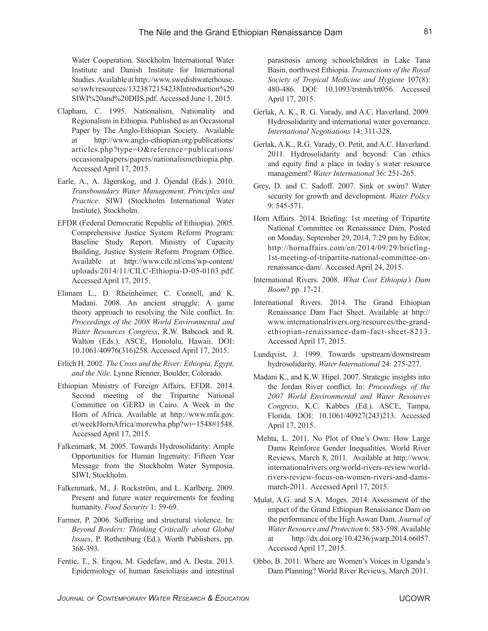Water Cooperation. Stockholm International Water Institute and Danish Institute for International Studies. Available at http://www.swedishwaterhouse. se/swh/resources/1323872154238Introduction%20 SIWI%20and%20DIIS.pdf. Accessed June 1, 2015.

- Clapham, C. 1995. Nationalism, Nationality and Regionalism in Ethiopia. Published as an Occasional Paper by The Anglo-Ethiopian Society. Available at http://www.anglo-ethiopian.org/publications/ articles.php?type=O&reference=publications/ occasionalpapers/papers/nationalismethiopia.php. Accessed April 17, 2015.
- Earle, A., A. Jägerskog, and J. Öjendal (Eds.). 2010. *Transboundary Water Management, Principles and Practice*. SIWI (Stockholm International Water Institute), Stockholm.
- EFDR (Federal Democratic Republic of Ethiopia). 2005. Comprehensive Justice System Reform Program: Baseline Study Report. Ministry of Capacity Building, Justice System Reform Program Office. Available at http://www.cilc.nl/cms/wp-content/ uploads/2014/11/CILC-Ethiopia-D-05-0103.pdf. Accessed April 17, 2015.
- Elimam L., D. Rheinheimer, C. Connell, and K. Madani. 2008. An ancient struggle: A game theory approach to resolving the Nile conflict. In: *Proceedings of the 2008 World Environmental and Water Resources Congress*, R.W. Babcock and R. Walton (Eds.). ASCE, Honolulu, Hawaii. DOI: 10.1061/40976(316)258. Accessed April 17, 2015.
- Erlich H. 2002. *The Cross and the River: Ethiopia, Egypt, and the Nile*. Lynne Rienner, Boulder, Colorado.
- Ethiopian Ministry of Foreign Affairs, EFDR. 2014. Second meeting of the Tripartite National Committee on GERD in Cairo. A Week in the Horn of Africa. Available at http://www.mfa.gov. et/weekHornAfrica/morewha.php?wi=1548#1548. Accessed April 17, 2015.
- Falkenmark, M. 2005. Towards Hydrosolidarity: Ample Opportunities for Human Ingenuity: Fifteen Year Message from the Stockholm Water Symposia. SIWI, Stockholm.
- Falkenmark, M., J. Rockström, and L. Karlberg. 2009. Present and future water requirements for feeding humanity. *Food Security* 1: 59-69.
- Farmer, P. 2006. Suffering and structural violence. In: *Beyond Borders: Thinking Critically about Global Issues*, P. Rothenburg (Ed.). Worth Publishers, pp. 368-393.
- Fentie, T., S. Erqou, M. Gedefaw, and A. Desta. 2013. Epidemiology of human fascioliasis and intestinal

parasitosis among schoolchildren in Lake Tana Basin, northwest Ethiopia. *Transactions of the Royal Society of Tropical Medicine and Hygiene* 107(8): 480-486. DOI: 10.1093/trstmh/trt056. Accessed April 17, 2015.

- Gerlak, A. K., R. G. Varady, and A.C. Haverland. 2009. Hydrosolidarity and international water governance. *International Negotiations* 14: 311-328.
- Gerlak, A.K., R.G. Varady, O. Petit, and A.C. Haverland. 2011. Hydrosolidarity and beyond: Can ethics and equity find a place in today´s water resource management? *Water International* 36: 251-265.
- Grey, D. and C. Sadoff. 2007. Sink or swim? Water security for growth and development. *Water Policy*  9: 545-571.
- Horn Affairs. 2014. Briefing: 1st meeting of Tripartite National Committee on Renaissance Dam, Posted on Monday, September 29, 2014, 7:29 pm by Editor, http://hornaffairs.com/en/2014/09/29/briefing-1st-meeting-of-tripartite-national-committee-onrenaissance-dam/. Accessed April 24, 2015.
- International Rivers. 2008. *What Cost Ethiopia's Dam Boom*? pp. 17-21.
- International Rivers. 2014. The Grand Ethiopian Renaissance Dam Fact Sheet. Available at http:// www.internationalrivers.org/resources/the-grandethiopian-renaissance-dam-fact-sheet-8213. Accessed April 17, 2015.
- Lundqvist, J. 1999. Towards upstream/downstream hydrosolidarity. *Water International* 24: 275-277.
- Madani K., and K.W. Hipel. 2007. Strategic insights into the Jordan River conflict. In: *Proceedings of the 2007 World Environmental and Water Resources Congress*, K.C. Kabbes (Ed.). ASCE, Tampa, Florida. DOI: 10.1061/40927(243)213. Accessed April 17, 2015.
- Mehta, L. 2011. No Plot of One's Own: How Large Dams Reinforce Gender Inequalities. World River Reviews, March 8, 2011. Available at http://www. internationalrivers.org/world-rivers-review/worldrivers-review-focus-on-women-rivers-and-damsmarch-2011. Accessed April 17, 2015.
- Mulat, A.G. and S.A. Moges. 2014. Assessment of the impact of the Grand Ethiopian Renaissance Dam on the performance of the High Aswan Dam. *Journal of Water Resource and Protection* 6: 583-598. Available at http://dx.doi.org/10.4236/jwarp.2014.66057. Accessed April 17, 2015.
- Obbo, B. 2011. Where are Women's Voices in Uganda's Dam Planning? World River Reviews, March 2011.

81